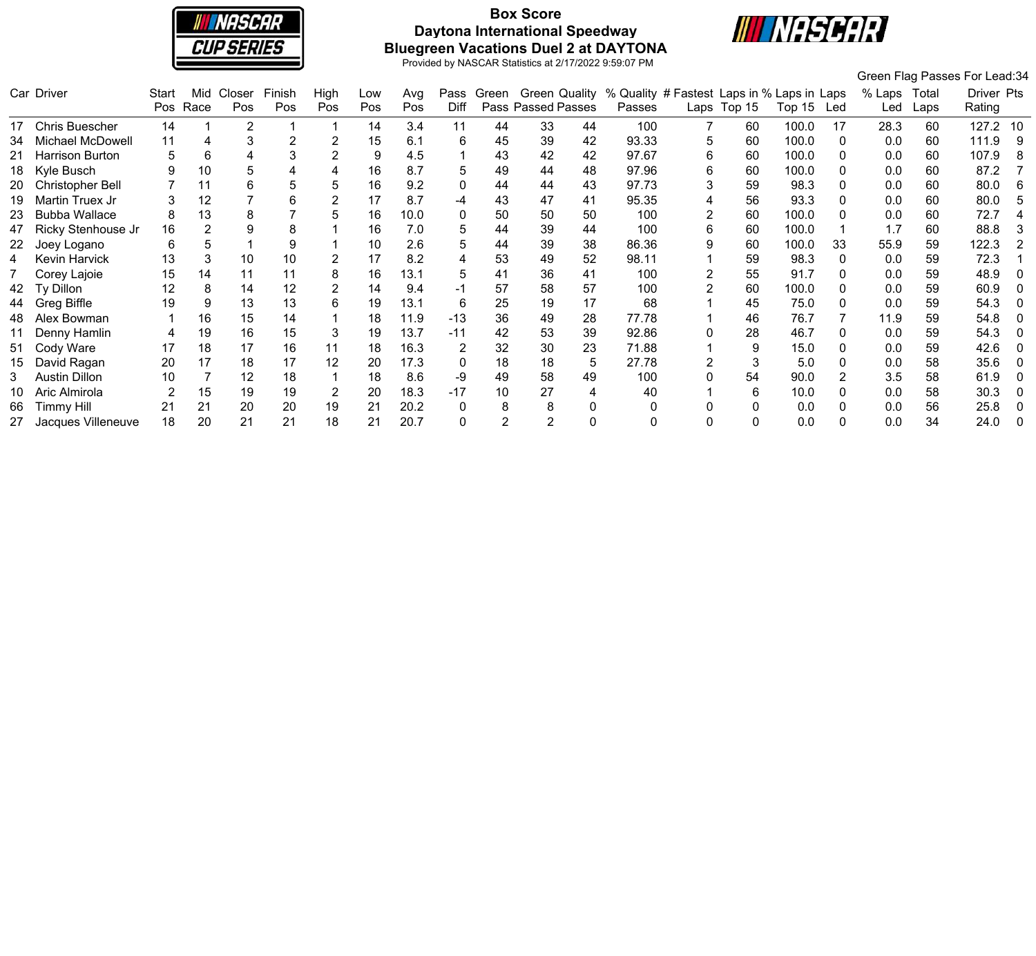

# **Box Score Daytona International Speedway Bluegreen Vacations Duel 2 at DAYTONA**



|    |                       |       |      |        |        |      |     |      |          |                |                    |    |                                                                |   |             |        |     |        |       | Green Flag Passes For Lead:34 |    |
|----|-----------------------|-------|------|--------|--------|------|-----|------|----------|----------------|--------------------|----|----------------------------------------------------------------|---|-------------|--------|-----|--------|-------|-------------------------------|----|
|    | Car Driver            | Start | Mid  | Closer | Finish | High | Low | Avg  | Pass     |                |                    |    | Green Green Quality % Quality # Fastest Laps in % Laps in Laps |   |             |        |     | % Laps | Total | Driver Pts                    |    |
|    |                       | Pos   | Race | Pos    | Pos    | Pos  | Pos | Pos  | Diff     |                | Pass Passed Passes |    | Passes                                                         |   | Laps Top 15 | Top 15 | Led | Led    | Laps  | Rating                        |    |
|    | <b>Chris Buescher</b> | 14    |      | 2      |        |      | 14  | 3.4  | 11       | 44             | 33                 | 44 | 100                                                            |   | 60          | 100.0  | 17  | 28.3   | 60    | 127.2 10                      |    |
|    | Michael McDowell      | 11    | 4    |        |        |      | 15  | 6.1  | 6        | 45             | 39                 | 42 | 93.33                                                          | 5 | 60          | 100.0  |     | 0.0    | 60    | 111.9                         |    |
|    | Harrison Burton       |       | 6    |        |        |      | 9   | 4.5  |          | 43             | 42                 | 42 | 97.67                                                          | 6 | 60          | 100.0  |     | 0.0    | 60    | 107.9                         | -8 |
| 18 | Kyle Busch            |       | 10   |        |        |      | 16  | 8.7  | 5        | 49             | 44                 | 48 | 97.96                                                          | 6 | 60          | 100.0  |     | 0.0    | 60    | 87.2                          |    |
| 20 | Christopher Bell      |       | 11   |        |        | 5    | 16  | 9.2  | 0        | 44             | 44                 | 43 | 97.73                                                          | 3 | 59          | 98.3   |     | 0.0    | 60    | 80.0                          | -6 |
|    | Martin Truex Jr       |       | 12   |        |        |      | 17  | 8.7  | -4       | 43             | 47                 | 41 | 95.35                                                          | 4 | 56          | 93.3   |     | 0.0    | 60    | 80.0                          |    |
| 23 | <b>Bubba Wallace</b>  |       | 13   |        |        | 5    | 16  | 10.0 | $\Omega$ | 50             | 50                 | 50 | 100                                                            |   | 60          | 100.0  |     | 0.0    | 60    | 72.7                          |    |
|    | Ricky Stenhouse Jr    | 16    |      |        |        |      | 16  | 7.0  | 'n.      | 44             | 39                 | 44 | 100                                                            | 6 | 60          | 100.0  |     | 1.7    | 60    | 88.8                          |    |
| 22 | Joey Logano           | 6     |      |        |        |      | 10  | 2.6  | 5        | 44             | 39                 | 38 | 86.36                                                          | 9 | 60          | 100.0  | 33  | 55.9   | 59    | 122.3                         |    |
|    | Kevin Harvick         | 13    |      | 10     | 10     |      | 17  | 8.2  |          | 53             | -49                | 52 | 98.11                                                          |   | 59          | 98.3   |     | 0.0    | 59    | 72.3                          |    |
|    | Corey Lajoie          | 15    | 14   | 11     | 11     | 8    | 16  | 13.1 | 5        | 41             | 36                 | 41 | 100                                                            |   | 55          | 91.7   |     | 0.0    | 59    | 48.9                          |    |
|    | Ty Dillon             | 12    | 8    | 14     | 12     |      | 14  | 9.4  | -1       | 57             | 58                 | 57 | 100                                                            |   | 60          | 100.0  |     | 0.0    | 59    | 60.9                          |    |
|    | Greg Biffle           | 19    |      | 13     | 13     | 6    | 19  | 13.1 | 6        | 25             | 19                 | 17 | 68                                                             |   | 45          | 75.0   |     | 0.0    | 59    | 54.3                          |    |
| 48 | Alex Bowman           |       | 16   | 15     | 14     |      | 18  | 11.9 | $-13$    | 36             | -49                | 28 | 77.78                                                          |   | 46          | 76.7   |     | 11.9   | 59    | 54.8                          |    |
|    | Denny Hamlin          |       | 19   | 16     | 15     | 3    | 19  | 13.7 | $-11$    | 42             | 53                 | 39 | 92.86                                                          |   | 28          | 46.7   |     | 0.0    | 59    | 54.3                          |    |
| 51 | Cody Ware             | 17    | 18   | 17     | 16     | 11   | 18  | 16.3 |          | 32             | 30                 | 23 | 71.88                                                          |   | 9           | 15.0   |     | 0.0    | 59    | 42.6                          |    |
| 15 | David Ragan           | 20    | 17   | 18     | 17     | 12   | 20  | 17.3 | $\Omega$ | 18             | 18                 | 5  | 27.78                                                          |   | 3           | 5.0    |     | 0.0    | 58    | 35.6                          |    |
|    | <b>Austin Dillon</b>  | 10    |      | 12     | 18     |      | 18  | 8.6  | -9       | 49             | 58                 | 49 | 100                                                            |   | 54          | 90.0   |     | 3.5    | 58    | 61.9                          |    |
|    | Aric Almirola         |       | 15   | 19     | 19     |      | 20  | 18.3 | $-17$    | 10             | 27                 |    | 40                                                             |   | 6           | 10.0   |     | 0.0    | 58    | 30.3                          |    |
| 66 | <b>Timmy Hill</b>     | 21    | 21   | 20     | 20     | 19   | 21  | 20.2 | 0        | 8              |                    |    |                                                                |   | 0           | 0.0    |     | 0.0    | 56    | 25.8                          |    |
| 27 | Jacques Villeneuve    | 18    | 20   | 21     | 21     | 18   |     | 20.7 |          | $\mathfrak{p}$ | 2                  |    |                                                                |   | 0           | 0.0    |     | 0.0    | 34    | 24.0                          |    |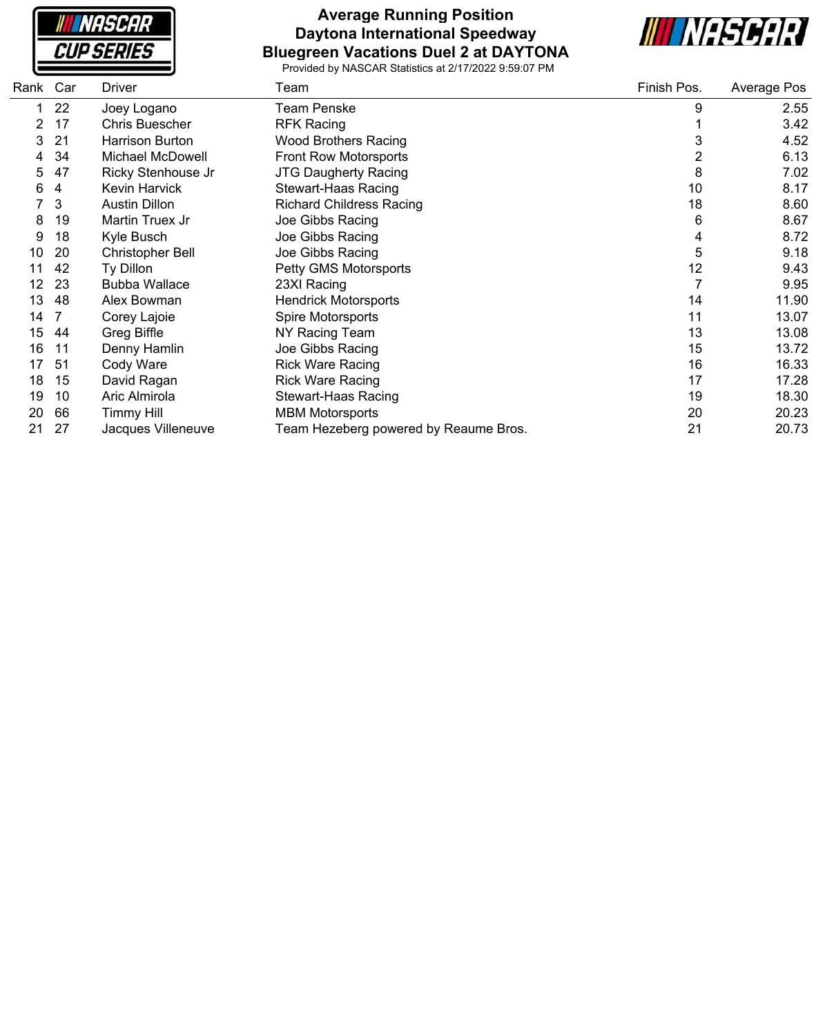**NASCAR CUP SERIES** 

#### **Average Running Position Daytona International Speedway Bluegreen Vacations Duel 2 at DAYTONA**



| Rank | Car | <b>Driver</b>           | Team                                  | Finish Pos.    | Average Pos |
|------|-----|-------------------------|---------------------------------------|----------------|-------------|
|      | 22  | Joey Logano             | <b>Team Penske</b>                    | 9              | 2.55        |
| 2    | 17  | <b>Chris Buescher</b>   | <b>RFK Racing</b>                     |                | 3.42        |
| 3    | 21  | Harrison Burton         | <b>Wood Brothers Racing</b>           | 3              | 4.52        |
| 4    | 34  | Michael McDowell        | <b>Front Row Motorsports</b>          | $\overline{c}$ | 6.13        |
| 5    | 47  | Ricky Stenhouse Jr      | <b>JTG Daugherty Racing</b>           | 8              | 7.02        |
| 6    | 4   | Kevin Harvick           | <b>Stewart-Haas Racing</b>            | 10             | 8.17        |
|      | 3   | <b>Austin Dillon</b>    | <b>Richard Childress Racing</b>       | 18             | 8.60        |
| 8    | 19  | Martin Truex Jr         | Joe Gibbs Racing                      | 6              | 8.67        |
| 9    | 18  | Kyle Busch              | Joe Gibbs Racing                      | 4              | 8.72        |
| 10   | 20  | <b>Christopher Bell</b> | Joe Gibbs Racing                      | 5              | 9.18        |
| 11   | 42  | Ty Dillon               | Petty GMS Motorsports                 | 12             | 9.43        |
| 12   | 23  | <b>Bubba Wallace</b>    | 23XI Racing                           |                | 9.95        |
| 13   | 48  | Alex Bowman             | <b>Hendrick Motorsports</b>           | 14             | 11.90       |
| 14   |     | Corey Lajoie            | Spire Motorsports                     | 11             | 13.07       |
| 15   | 44  | Greg Biffle             | NY Racing Team                        | 13             | 13.08       |
| 16   | 11  | Denny Hamlin            | Joe Gibbs Racing                      | 15             | 13.72       |
| 17   | 51  | Cody Ware               | <b>Rick Ware Racing</b>               | 16             | 16.33       |
| 18   | 15  | David Ragan             | <b>Rick Ware Racing</b>               | 17             | 17.28       |
| 19   | 10  | Aric Almirola           | Stewart-Haas Racing                   | 19             | 18.30       |
| 20   | 66  | <b>Timmy Hill</b>       | <b>MBM Motorsports</b>                | 20             | 20.23       |
| 21   | 27  | Jacques Villeneuve      | Team Hezeberg powered by Reaume Bros. | 21             | 20.73       |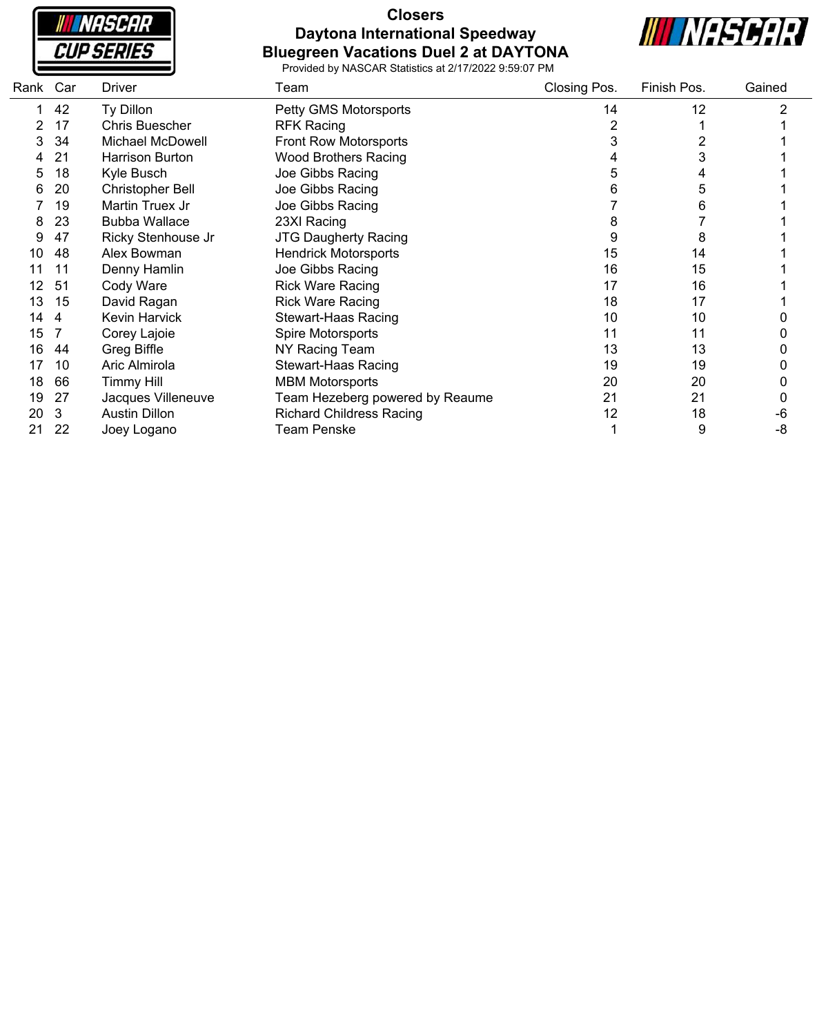**NASCAR CUP SERIES** 

#### **Closers Daytona International Speedway Bluegreen Vacations Duel 2 at DAYTONA**



| Rank Car |    | Driver                  | Team                            | Closing Pos. | Finish Pos. | Gained |
|----------|----|-------------------------|---------------------------------|--------------|-------------|--------|
|          | 42 | Ty Dillon               | Petty GMS Motorsports           | 14           | 12          | 2      |
|          | 17 | <b>Chris Buescher</b>   | <b>RFK Racing</b>               | 2            |             |        |
|          | 34 | <b>Michael McDowell</b> | <b>Front Row Motorsports</b>    |              |             |        |
|          | 21 | <b>Harrison Burton</b>  | <b>Wood Brothers Racing</b>     |              | 3           |        |
| 5        | 18 | Kyle Busch              | Joe Gibbs Racing                | 5            | 4           |        |
| 6        | 20 | <b>Christopher Bell</b> | Joe Gibbs Racing                |              | 5           |        |
|          | 19 | Martin Truex Jr         | Joe Gibbs Racing                |              | 6           |        |
| 8        | 23 | <b>Bubba Wallace</b>    | 23XI Racing                     | 8            |             |        |
| 9        | 47 | Ricky Stenhouse Jr      | <b>JTG Daugherty Racing</b>     | 9            | 8           |        |
| 10       | 48 | Alex Bowman             | <b>Hendrick Motorsports</b>     | 15           | 14          |        |
| 11       | 11 | Denny Hamlin            | Joe Gibbs Racing                | 16           | 15          |        |
| 12       | 51 | Cody Ware               | <b>Rick Ware Racing</b>         | 17           | 16          |        |
| 13       | 15 | David Ragan             | <b>Rick Ware Racing</b>         | 18           | 17          |        |
| 14       | 4  | <b>Kevin Harvick</b>    | <b>Stewart-Haas Racing</b>      | 10           | 10          |        |
| 15       |    | Corey Lajoie            | Spire Motorsports               | 11           | 11          |        |
| 16       | 44 | <b>Greg Biffle</b>      | NY Racing Team                  | 13           | 13          |        |
| 17       | 10 | Aric Almirola           | <b>Stewart-Haas Racing</b>      | 19           | 19          |        |
| 18       | 66 | <b>Timmy Hill</b>       | <b>MBM Motorsports</b>          | 20           | 20          |        |
| 19       | 27 | Jacques Villeneuve      | Team Hezeberg powered by Reaume | 21           | 21          | 0      |
| 20       | 3  | <b>Austin Dillon</b>    | <b>Richard Childress Racing</b> | 12           | 18          | -6     |
| 21       | 22 | Joey Logano             | <b>Team Penske</b>              |              | 9           | -8     |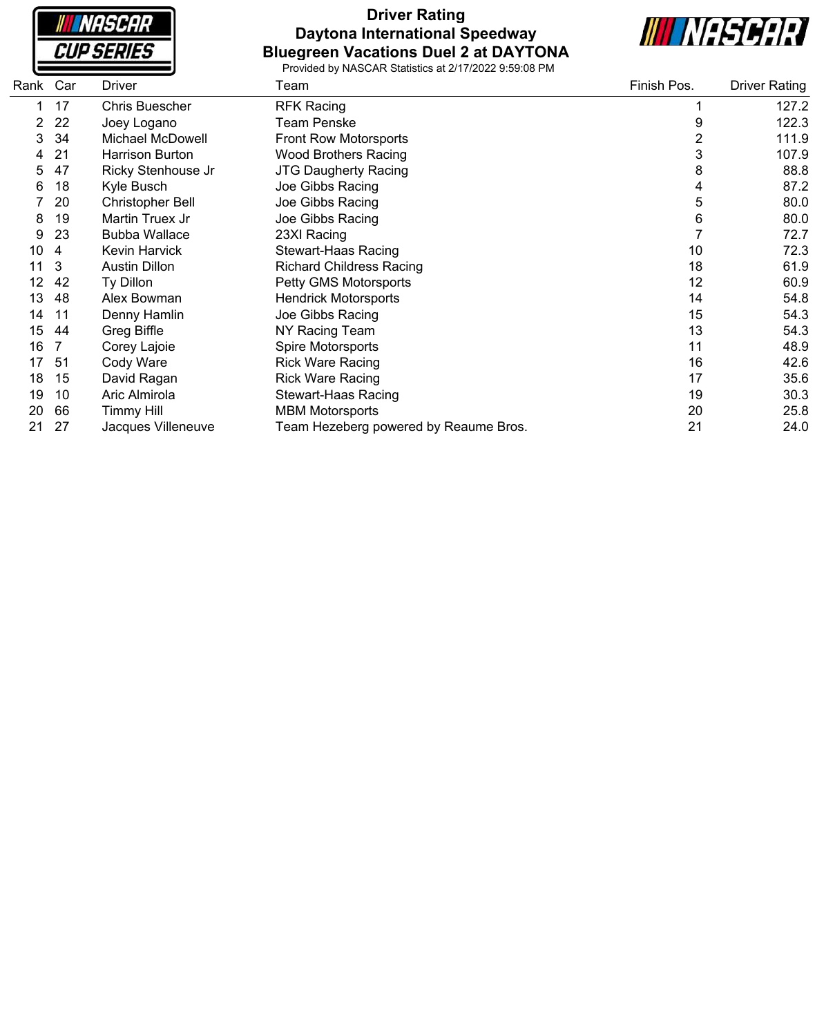

### **Driver Rating Daytona International Speedway Bluegreen Vacations Duel 2 at DAYTONA**



| Rank Car | <b>Driver</b>           | Team                                  | Finish Pos.            | <b>Driver Rating</b> |
|----------|-------------------------|---------------------------------------|------------------------|----------------------|
| 17       | <b>Chris Buescher</b>   | <b>RFK Racing</b>                     |                        | 127.2                |
| 22       | Joey Logano             | Team Penske                           | 9                      | 122.3                |
| 34       | Michael McDowell        | <b>Front Row Motorsports</b>          | $\overline{2}$         | 111.9                |
| 21       | <b>Harrison Burton</b>  | <b>Wood Brothers Racing</b>           | 3                      | 107.9                |
| 47       | Ricky Stenhouse Jr      | <b>JTG Daugherty Racing</b>           | 8                      | 88.8                 |
| 18       | Kyle Busch              | Joe Gibbs Racing                      | 4                      | 87.2                 |
| 20       | <b>Christopher Bell</b> | Joe Gibbs Racing                      | 5                      | 80.0                 |
| 19       | Martin Truex Jr         | Joe Gibbs Racing                      | 6                      | 80.0                 |
| 23       | <b>Bubba Wallace</b>    | 23XI Racing                           |                        | 72.7                 |
| 4        | <b>Kevin Harvick</b>    | <b>Stewart-Haas Racing</b>            | 10                     | 72.3                 |
| 3        | <b>Austin Dillon</b>    | <b>Richard Childress Racing</b>       | 18                     | 61.9                 |
| 42       | Ty Dillon               | Petty GMS Motorsports                 | 12                     | 60.9                 |
| 48       | Alex Bowman             | <b>Hendrick Motorsports</b>           | 14                     | 54.8                 |
| 11       | Denny Hamlin            | Joe Gibbs Racing                      | 15                     | 54.3                 |
| 44       | Greg Biffle             | NY Racing Team                        | 13                     | 54.3                 |
|          | Corey Lajoie            | Spire Motorsports                     | 11                     | 48.9                 |
| -51      | Cody Ware               | <b>Rick Ware Racing</b>               | 16                     | 42.6                 |
| 15       | David Ragan             | <b>Rick Ware Racing</b>               | 17                     | 35.6                 |
| 10       | Aric Almirola           | <b>Stewart-Haas Racing</b>            | 19                     | 30.3                 |
| 66       | <b>Timmy Hill</b>       |                                       | 20                     | 25.8                 |
| 27       | Jacques Villeneuve      | Team Hezeberg powered by Reaume Bros. | 21                     | 24.0                 |
|          |                         |                                       | <b>MBM Motorsports</b> |                      |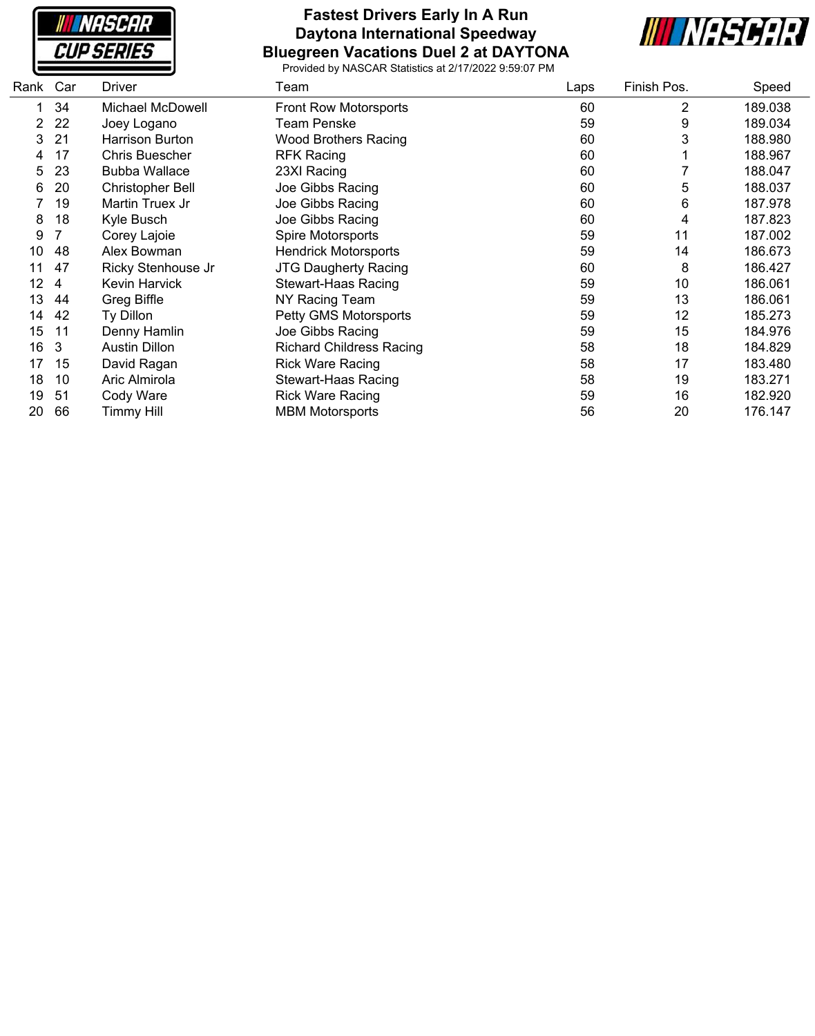

#### **Fastest Drivers Early In A Run Daytona International Speedway Bluegreen Vacations Duel 2 at DAYTONA**



| Rank | Car | <b>Driver</b>         | Team                            | Laps | Finish Pos. | Speed   |
|------|-----|-----------------------|---------------------------------|------|-------------|---------|
|      | 34  | Michael McDowell      | <b>Front Row Motorsports</b>    | 60   | 2           | 189.038 |
| 2    | 22  | Joey Logano           | Team Penske                     | 59   | 9           | 189.034 |
| 3    | 21  | Harrison Burton       | <b>Wood Brothers Racing</b>     | 60   | 3           | 188.980 |
| 4    | 17  | <b>Chris Buescher</b> | <b>RFK Racing</b>               | 60   |             | 188.967 |
| 5    | 23  | <b>Bubba Wallace</b>  | 23XI Racing                     | 60   |             | 188.047 |
| 6    | 20  | Christopher Bell      | Joe Gibbs Racing                | 60   | 5           | 188.037 |
|      | 19  | Martin Truex Jr       | Joe Gibbs Racing                | 60   | 6           | 187.978 |
| 8    | 18  | Kyle Busch            | Joe Gibbs Racing                | 60   | 4           | 187.823 |
| 9    | 7   | Corey Lajoie          | Spire Motorsports               | 59   | 11          | 187.002 |
| 10   | 48  | Alex Bowman           | <b>Hendrick Motorsports</b>     | 59   | 14          | 186.673 |
| 11   | 47  | Ricky Stenhouse Jr    | <b>JTG Daugherty Racing</b>     | 60   | 8           | 186.427 |
| 12   | 4   | Kevin Harvick         | Stewart-Haas Racing             | 59   | 10          | 186.061 |
| 13   | 44  | Greg Biffle           | NY Racing Team                  | 59   | 13          | 186.061 |
| 14   | 42  | Ty Dillon             | Petty GMS Motorsports           | 59   | 12          | 185.273 |
| 15   | 11  | Denny Hamlin          | Joe Gibbs Racing                | 59   | 15          | 184.976 |
| 16   | 3   | <b>Austin Dillon</b>  | <b>Richard Childress Racing</b> | 58   | 18          | 184.829 |
| 17   | 15  | David Ragan           | <b>Rick Ware Racing</b>         | 58   | 17          | 183.480 |
| 18   | 10  | Aric Almirola         | Stewart-Haas Racing             | 58   | 19          | 183.271 |
| 19   | 51  | Cody Ware             | <b>Rick Ware Racing</b>         | 59   | 16          | 182.920 |
| 20   | 66  | <b>Timmy Hill</b>     | <b>MBM Motorsports</b>          | 56   | 20          | 176.147 |
|      |     |                       |                                 |      |             |         |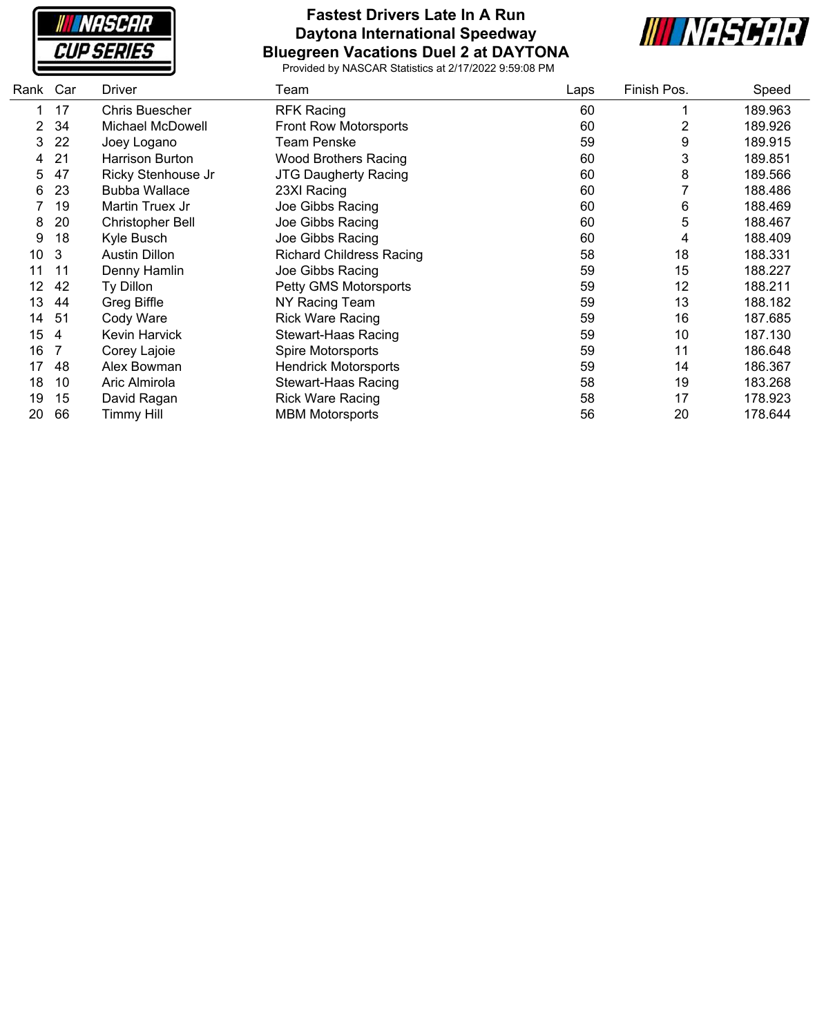

#### **Fastest Drivers Late In A Run Daytona International Speedway Bluegreen Vacations Duel 2 at DAYTONA**



| Rank | Car | <b>Driver</b>           | Team                            | Laps | Finish Pos. | Speed   |
|------|-----|-------------------------|---------------------------------|------|-------------|---------|
| 1    | 17  | Chris Buescher          | <b>RFK Racing</b>               | 60   |             | 189.963 |
| 2    | 34  | Michael McDowell        | Front Row Motorsports           | 60   | 2           | 189.926 |
| 3    | 22  | Joey Logano             | Team Penske                     | 59   | 9           | 189.915 |
| 4    | 21  | Harrison Burton         | <b>Wood Brothers Racing</b>     | 60   | 3           | 189.851 |
| 5    | 47  | Ricky Stenhouse Jr      | <b>JTG Daugherty Racing</b>     | 60   | 8           | 189.566 |
| 6    | 23  | <b>Bubba Wallace</b>    | 23XI Racing                     | 60   |             | 188.486 |
|      | 19  | Martin Truex Jr         | Joe Gibbs Racing                | 60   | 6           | 188.469 |
| 8    | 20  | <b>Christopher Bell</b> | Joe Gibbs Racing                | 60   | 5           | 188.467 |
| 9    | 18  | Kyle Busch              | Joe Gibbs Racing                | 60   | 4           | 188.409 |
| 10   | 3   | <b>Austin Dillon</b>    | <b>Richard Childress Racing</b> | 58   | 18          | 188.331 |
| 11   | 11  | Denny Hamlin            | Joe Gibbs Racing                | 59   | 15          | 188.227 |
| 12   | 42  | Ty Dillon               | Petty GMS Motorsports           | 59   | 12          | 188.211 |
| 13   | 44  | Greg Biffle             | NY Racing Team                  | 59   | 13          | 188.182 |
| 14   | 51  | Cody Ware               | <b>Rick Ware Racing</b>         | 59   | 16          | 187.685 |
| 15   | 4   | Kevin Harvick           | <b>Stewart-Haas Racing</b>      | 59   | 10          | 187.130 |
| 16   |     | Corey Lajoie            | Spire Motorsports               | 59   | 11          | 186.648 |
| 17   | 48  | Alex Bowman             | <b>Hendrick Motorsports</b>     | 59   | 14          | 186.367 |
| 18   | 10  | Aric Almirola           | Stewart-Haas Racing             | 58   | 19          | 183.268 |
| 19   | 15  | David Ragan             | <b>Rick Ware Racing</b>         | 58   | 17          | 178.923 |
| 20   | 66  | Timmy Hill              | <b>MBM Motorsports</b>          | 56   | 20          | 178.644 |
|      |     |                         |                                 |      |             |         |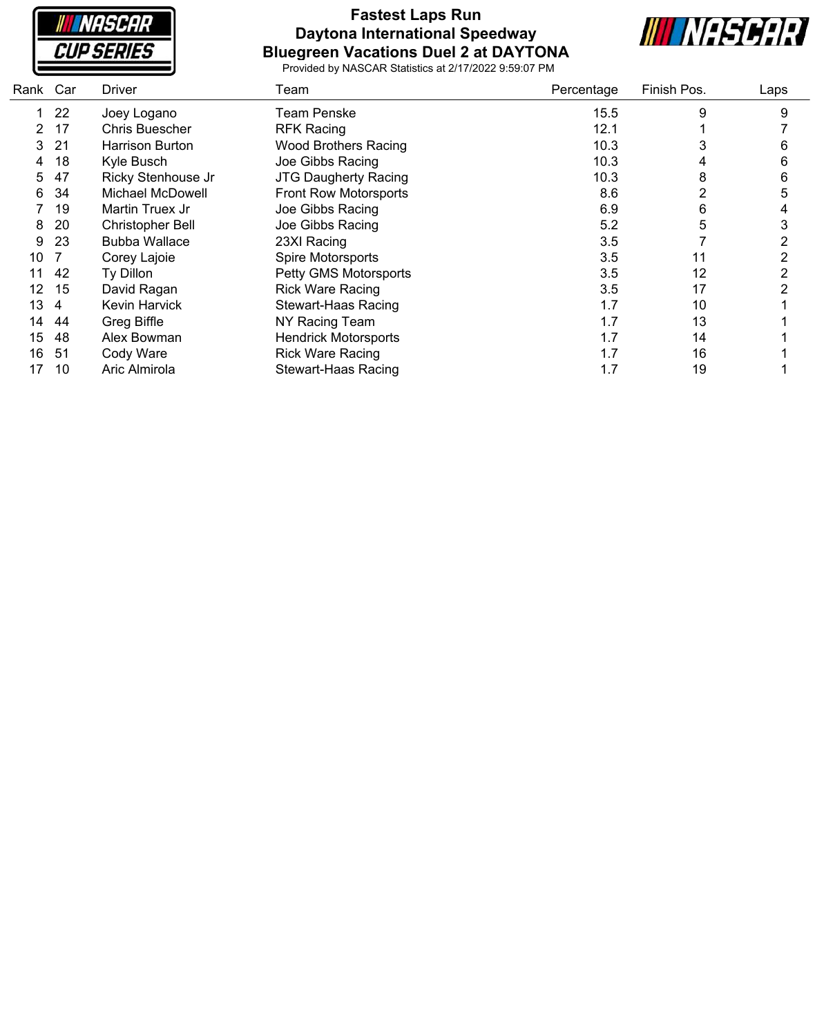

### **Fastest Laps Run Daytona International Speedway Bluegreen Vacations Duel 2 at DAYTONA**



| Car | Driver                  | Team                         | Percentage | Finish Pos. | Laps |
|-----|-------------------------|------------------------------|------------|-------------|------|
| 22  | Joey Logano             | Team Penske                  | 15.5       | 9           | 9    |
| 17  | <b>Chris Buescher</b>   | <b>RFK Racing</b>            | 12.1       |             |      |
| 21  | Harrison Burton         | <b>Wood Brothers Racing</b>  | 10.3       | 3           | 6    |
| 18  | Kyle Busch              | Joe Gibbs Racing             | 10.3       | 4           | 6    |
| 47  | Ricky Stenhouse Jr      | <b>JTG Daugherty Racing</b>  | 10.3       | 8           | 6    |
| 34  | Michael McDowell        | <b>Front Row Motorsports</b> | 8.6        | 2           | 5    |
| 19  | Martin Truex Jr         | Joe Gibbs Racing             | 6.9        | 6           |      |
| 20  | <b>Christopher Bell</b> | Joe Gibbs Racing             | 5.2        | 5           | 3    |
| 23  | <b>Bubba Wallace</b>    | 23XI Racing                  | 3.5        |             | 2    |
|     | Corey Lajoie            | Spire Motorsports            | 3.5        | 11          | 2    |
| 42  | Ty Dillon               | Petty GMS Motorsports        | 3.5        | 12          | 2    |
| 15  | David Ragan             | <b>Rick Ware Racing</b>      | 3.5        | 17          | 2    |
| 4   | Kevin Harvick           | <b>Stewart-Haas Racing</b>   | 1.7        | 10          |      |
| 44  | Greg Biffle             | NY Racing Team               | 1.7        | 13          |      |
| 48  | Alex Bowman             | <b>Hendrick Motorsports</b>  | 1.7        | 14          |      |
| -51 | Cody Ware               | <b>Rick Ware Racing</b>      | 1.7        | 16          |      |
| 10  | Aric Almirola           | <b>Stewart-Haas Racing</b>   | 1.7        | 19          |      |
|     | Rank                    |                              |            |             |      |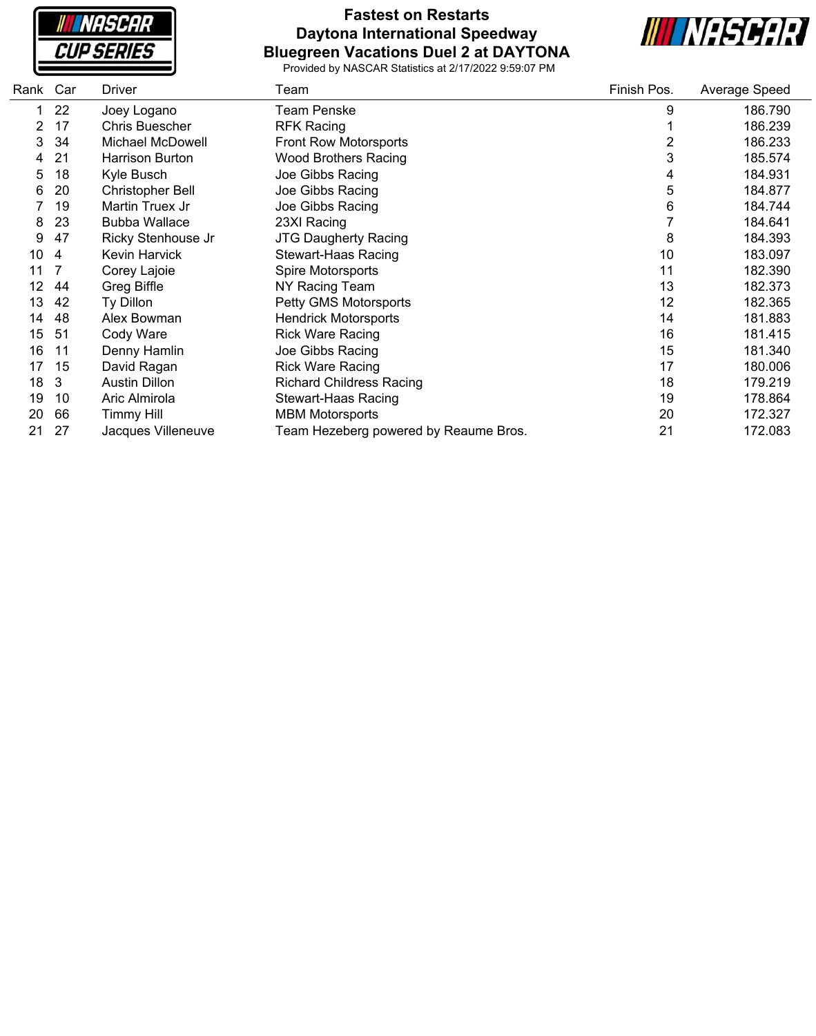

#### **Fastest on Restarts Daytona International Speedway Bluegreen Vacations Duel 2 at DAYTONA**



| Rank | Car | <b>Driver</b>           | Team                                  | Finish Pos. | Average Speed |
|------|-----|-------------------------|---------------------------------------|-------------|---------------|
|      | 22  | Joey Logano             | <b>Team Penske</b>                    | 9           | 186.790       |
| 2    | 17  | <b>Chris Buescher</b>   | <b>RFK Racing</b>                     |             | 186.239       |
| 3    | 34  | Michael McDowell        | <b>Front Row Motorsports</b>          | 2           | 186.233       |
| 4    | 21  | <b>Harrison Burton</b>  | <b>Wood Brothers Racing</b>           | 3           | 185.574       |
| 5    | 18  | Kyle Busch              | Joe Gibbs Racing                      | 4           | 184.931       |
| 6    | 20  | <b>Christopher Bell</b> | Joe Gibbs Racing                      | 5           | 184.877       |
|      | 19  | Martin Truex Jr         | Joe Gibbs Racing                      | 6           | 184.744       |
| 8    | 23  | <b>Bubba Wallace</b>    | 23XI Racing                           |             | 184.641       |
| 9    | 47  | Ricky Stenhouse Jr      | <b>JTG Daugherty Racing</b>           | 8           | 184.393       |
| 10   | 4   | <b>Kevin Harvick</b>    | <b>Stewart-Haas Racing</b>            | 10          | 183.097       |
| 11   |     | Corey Lajoie            | Spire Motorsports                     | 11          | 182.390       |
| 12   | 44  | Greg Biffle             | NY Racing Team                        | 13          | 182.373       |
| 13   | 42  | Ty Dillon               | Petty GMS Motorsports                 | 12          | 182.365       |
| 14   | 48  | Alex Bowman             | <b>Hendrick Motorsports</b>           | 14          | 181.883       |
| 15   | 51  | Cody Ware               | <b>Rick Ware Racing</b>               | 16          | 181.415       |
| 16   | 11  | Denny Hamlin            | Joe Gibbs Racing                      | 15          | 181.340       |
| 17   | 15  | David Ragan             | <b>Rick Ware Racing</b>               | 17          | 180.006       |
| 18   | 3   | <b>Austin Dillon</b>    | <b>Richard Childress Racing</b>       | 18          | 179.219       |
| 19   | 10  | Aric Almirola           | <b>Stewart-Haas Racing</b>            | 19          | 178.864       |
| 20   | 66  | Timmy Hill              | <b>MBM Motorsports</b>                | 20          | 172.327       |
| 21   | 27  | Jacques Villeneuve      | Team Hezeberg powered by Reaume Bros. | 21          | 172.083       |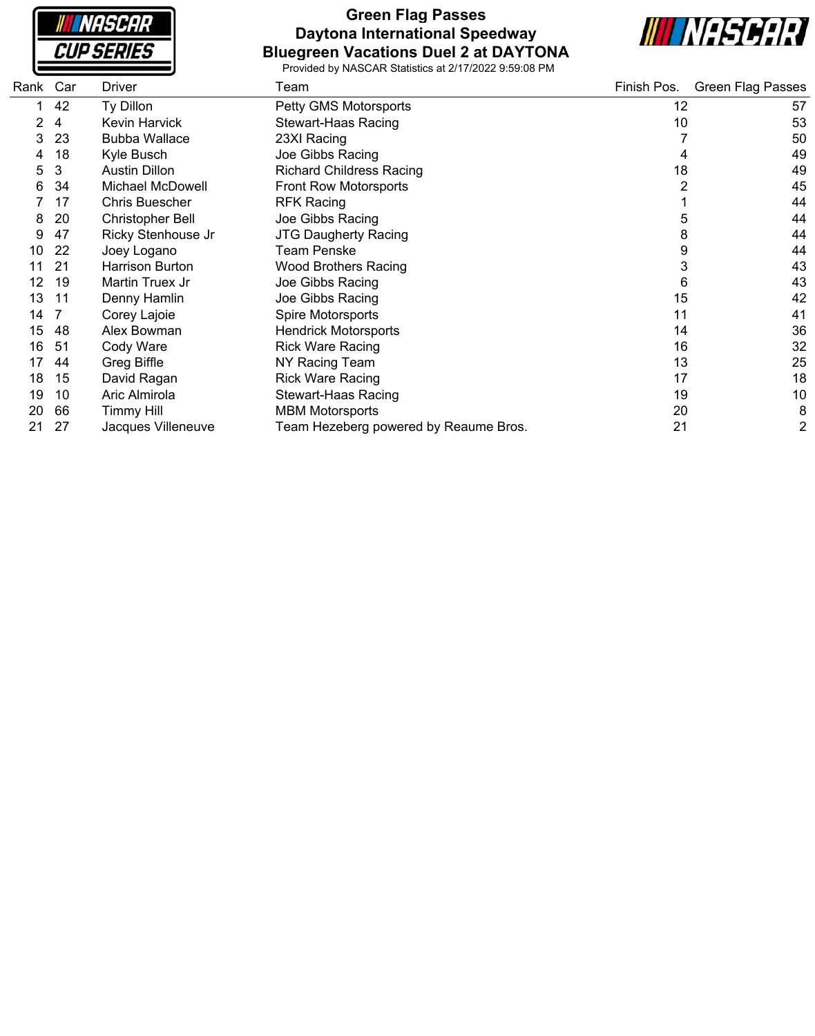**NASCAR CUP SERIES** 

#### **Green Flag Passes Daytona International Speedway Bluegreen Vacations Duel 2 at DAYTONA**



| Rank | Car | <b>Driver</b>           | Team                                  | Finish Pos. | <b>Green Flag Passes</b> |
|------|-----|-------------------------|---------------------------------------|-------------|--------------------------|
|      | 42  | Ty Dillon               | Petty GMS Motorsports                 | 12          | 57                       |
|      | 4   | Kevin Harvick           | Stewart-Haas Racing                   | 10          | 53                       |
| 3    | 23  | <b>Bubba Wallace</b>    | 23XI Racing                           |             | 50                       |
| 4    | 18  | Kyle Busch              | Joe Gibbs Racing                      |             | 49                       |
| 5    | 3   | <b>Austin Dillon</b>    | <b>Richard Childress Racing</b>       | 18          | 49                       |
| 6    | 34  | Michael McDowell        | Front Row Motorsports                 |             | 45                       |
|      | 17  | <b>Chris Buescher</b>   | <b>RFK Racing</b>                     |             | 44                       |
| 8    | 20  | <b>Christopher Bell</b> | Joe Gibbs Racing                      | 5           | 44                       |
| 9    | 47  | Ricky Stenhouse Jr      | <b>JTG Daugherty Racing</b>           | 8           | 44                       |
| 10   | 22  | Joey Logano             | Team Penske                           | 9           | 44                       |
|      | 21  | Harrison Burton         | <b>Wood Brothers Racing</b>           | 3           | 43                       |
| 12   | 19  | Martin Truex Jr         | Joe Gibbs Racing                      | 6           | 43                       |
| 13   | 11  | Denny Hamlin            | Joe Gibbs Racing                      | 15          | 42                       |
| 14   |     | Corey Lajoie            | Spire Motorsports                     | 11          | 41                       |
| 15   | 48  | Alex Bowman             | <b>Hendrick Motorsports</b>           | 14          | 36                       |
| 16   | 51  | Cody Ware               | <b>Rick Ware Racing</b>               | 16          | 32                       |
| 17   | 44  | Greg Biffle             | NY Racing Team                        | 13          | 25                       |
| 18   | 15  | David Ragan             | <b>Rick Ware Racing</b>               | 17          | 18                       |
| 19   | 10  | Aric Almirola           | <b>Stewart-Haas Racing</b>            | 19          | 10                       |
| 20   | 66  | <b>Timmy Hill</b>       | <b>MBM Motorsports</b>                | 20          | 8                        |
| 21   | 27  | Jacques Villeneuve      | Team Hezeberg powered by Reaume Bros. | 21          | 2                        |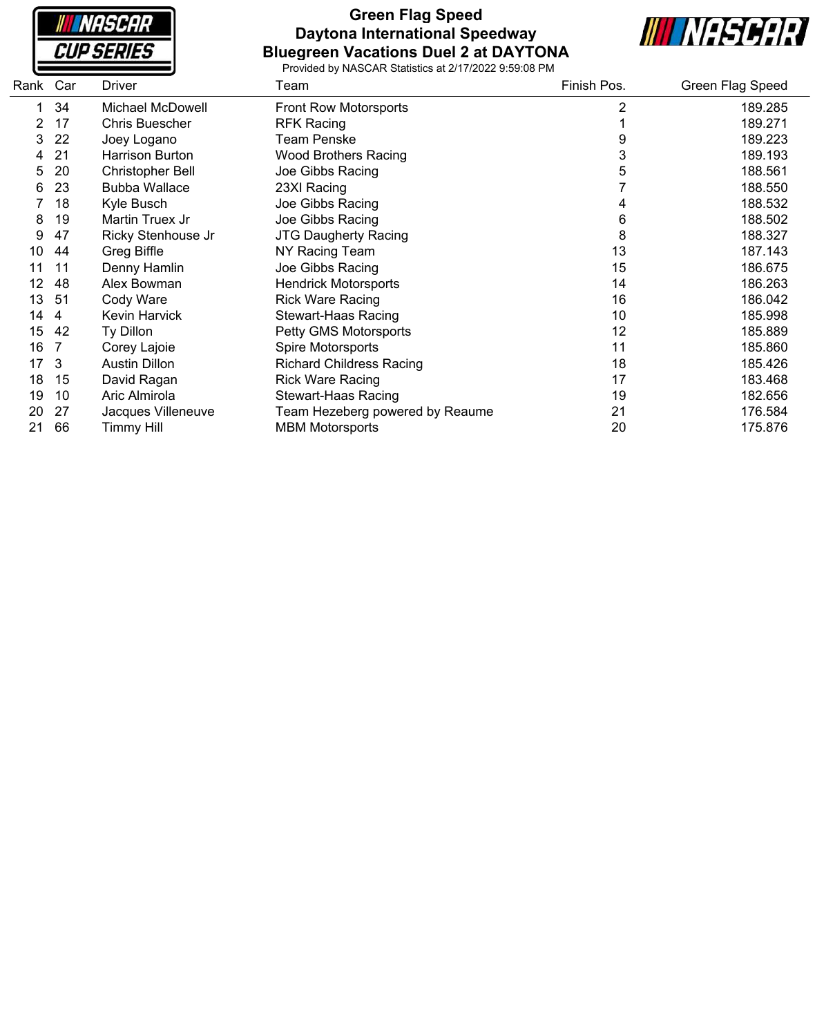

#### **Green Flag Speed Daytona International Speedway Bluegreen Vacations Duel 2 at DAYTONA**



| Rank | Car            | <b>Driver</b>           | Team                            | Finish Pos. | Green Flag Speed |
|------|----------------|-------------------------|---------------------------------|-------------|------------------|
|      | 34             | Michael McDowell        | <b>Front Row Motorsports</b>    | 2           | 189.285          |
| 2    | 17             | <b>Chris Buescher</b>   | <b>RFK Racing</b>               |             | 189.271          |
| 3    | 22             | Joey Logano             | Team Penske                     | 9           | 189.223          |
| 4    | 21             | <b>Harrison Burton</b>  | <b>Wood Brothers Racing</b>     | 3           | 189.193          |
| 5    | 20             | <b>Christopher Bell</b> | Joe Gibbs Racing                | 5           | 188.561          |
| 6    | 23             | <b>Bubba Wallace</b>    | 23XI Racing                     |             | 188.550          |
|      | 18             | Kyle Busch              | Joe Gibbs Racing                |             | 188.532          |
| 8    | 19             | Martin Truex Jr         | Joe Gibbs Racing                | 6           | 188.502          |
| 9    | 47             | Ricky Stenhouse Jr      | <b>JTG Daugherty Racing</b>     | 8           | 188.327          |
| 10   | 44             | Greg Biffle             | NY Racing Team                  | 13          | 187.143          |
| 11   | 11             | Denny Hamlin            | Joe Gibbs Racing                | 15          | 186.675          |
| 12   | 48             | Alex Bowman             | <b>Hendrick Motorsports</b>     | 14          | 186.263          |
| 13   | 51             | Cody Ware               | <b>Rick Ware Racing</b>         | 16          | 186.042          |
| 14   | $\overline{4}$ | Kevin Harvick           | <b>Stewart-Haas Racing</b>      | 10          | 185.998          |
| 15   | 42             | Ty Dillon               | Petty GMS Motorsports           | 12          | 185.889          |
| 16   |                | Corey Lajoie            | Spire Motorsports               | 11          | 185.860          |
| 17   | 3              | <b>Austin Dillon</b>    | <b>Richard Childress Racing</b> | 18          | 185.426          |
| 18   | 15             | David Ragan             | <b>Rick Ware Racing</b>         | 17          | 183.468          |
| 19   | 10             | Aric Almirola           | <b>Stewart-Haas Racing</b>      | 19          | 182.656          |
| 20   | 27             | Jacques Villeneuve      | Team Hezeberg powered by Reaume | 21          | 176.584          |
| 21   | 66             | Timmy Hill              | <b>MBM Motorsports</b>          | 20          | 175.876          |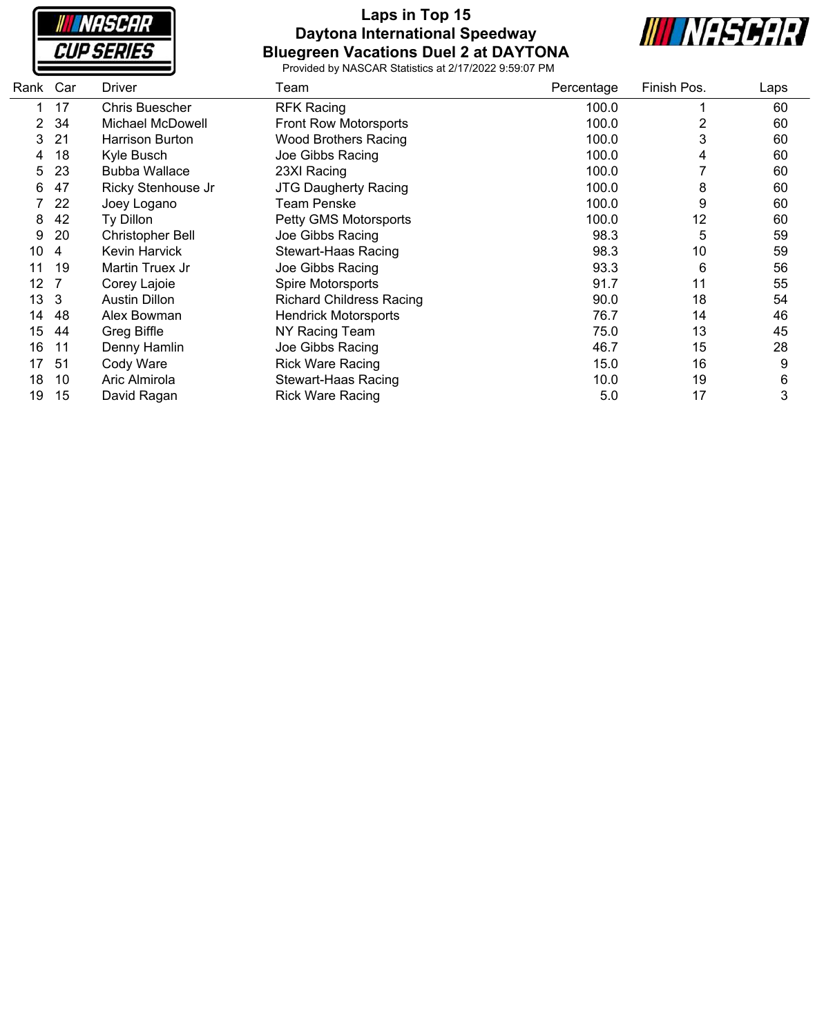

### **Laps in Top 15 Daytona International Speedway Bluegreen Vacations Duel 2 at DAYTONA**



| Rank | Car | Driver                  | Team                            | Percentage | Finish Pos. | Laps |
|------|-----|-------------------------|---------------------------------|------------|-------------|------|
|      | 17  | <b>Chris Buescher</b>   | <b>RFK Racing</b>               | 100.0      |             | 60   |
| 2    | 34  | <b>Michael McDowell</b> | Front Row Motorsports           | 100.0      | 2           | 60   |
| 3    | 21  | Harrison Burton         | <b>Wood Brothers Racing</b>     | 100.0      | 3           | 60   |
| 4    | 18  | Kyle Busch              | Joe Gibbs Racing                | 100.0      | 4           | 60   |
| 5    | 23  | <b>Bubba Wallace</b>    | 23XI Racing                     | 100.0      |             | 60   |
| 6    | 47  | Ricky Stenhouse Jr      | <b>JTG Daugherty Racing</b>     | 100.0      | 8           | 60   |
|      | 22  | Joey Logano             | <b>Team Penske</b>              | 100.0      | 9           | 60   |
| 8    | 42  | Ty Dillon               | Petty GMS Motorsports           | 100.0      | 12          | 60   |
| 9    | 20  | <b>Christopher Bell</b> | Joe Gibbs Racing                | 98.3       | 5           | 59   |
| 10   | 4   | Kevin Harvick           | <b>Stewart-Haas Racing</b>      | 98.3       | 10          | 59   |
| 11   | 19  | Martin Truex Jr         | Joe Gibbs Racing                | 93.3       | 6           | 56   |
| 12   |     | Corey Lajoie            | Spire Motorsports               | 91.7       | 11          | 55   |
| 13   | 3   | <b>Austin Dillon</b>    | <b>Richard Childress Racing</b> | 90.0       | 18          | 54   |
| 14   | 48  | Alex Bowman             | <b>Hendrick Motorsports</b>     | 76.7       | 14          | 46   |
| 15   | 44  | Greg Biffle             | NY Racing Team                  | 75.0       | 13          | 45   |
| 16   | 11  | Denny Hamlin            | Joe Gibbs Racing                | 46.7       | 15          | 28   |
| 17   | 51  | Cody Ware               | <b>Rick Ware Racing</b>         | 15.0       | 16          | 9    |
| 18   | 10  | Aric Almirola           | Stewart-Haas Racing             | 10.0       | 19          | 6    |
| 19   | 15  | David Ragan             | <b>Rick Ware Racing</b>         | 5.0        | 17          | 3    |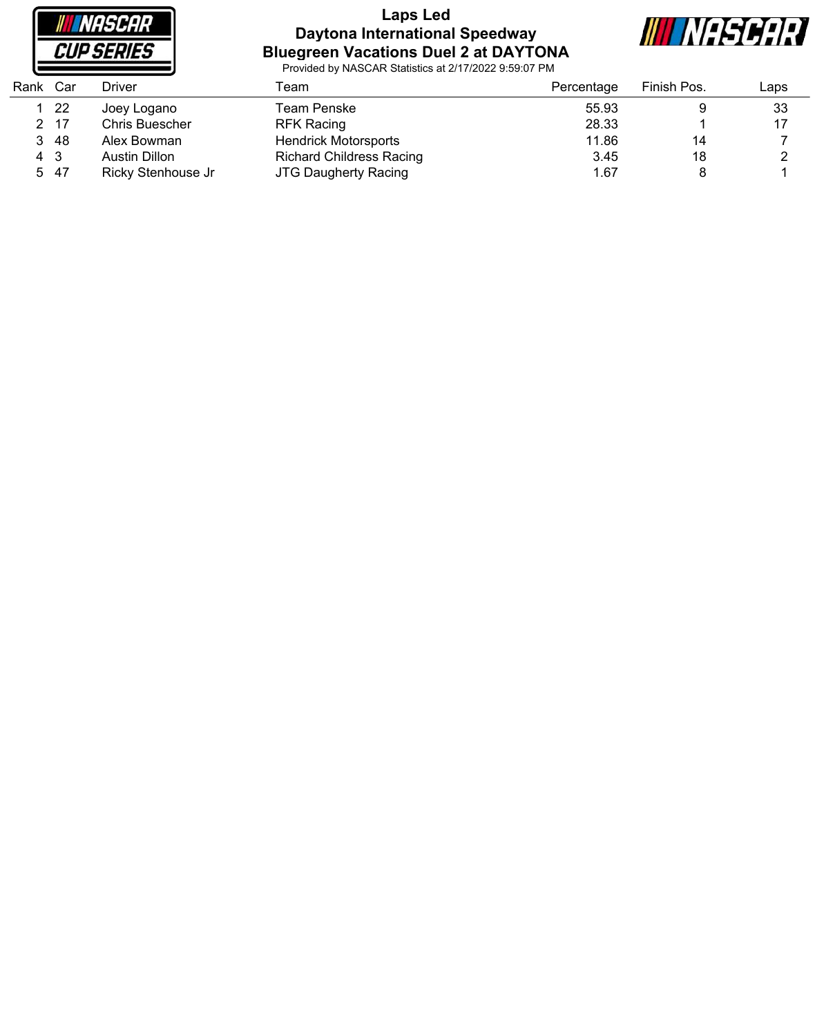

#### **Laps Led Daytona International Speedway Bluegreen Vacations Duel 2 at DAYTONA**



| Rank | Car  | Driver                | Геаm                            | Percentage | Finish Pos. | Laps |
|------|------|-----------------------|---------------------------------|------------|-------------|------|
|      | 22   | Joey Logano           | Team Penske                     | 55.93      |             | 33   |
|      | 2 17 | <b>Chris Buescher</b> | <b>RFK Racing</b>               | 28.33      |             | 17   |
| 3    | -48  | Alex Bowman           | <b>Hendrick Motorsports</b>     | 11.86      | 14          |      |
| 4 3  |      | Austin Dillon         | <b>Richard Childress Racing</b> | 3.45       | 18          |      |
|      | 5 47 | Ricky Stenhouse Jr    | <b>JTG Daugherty Racing</b>     | 1.67       |             |      |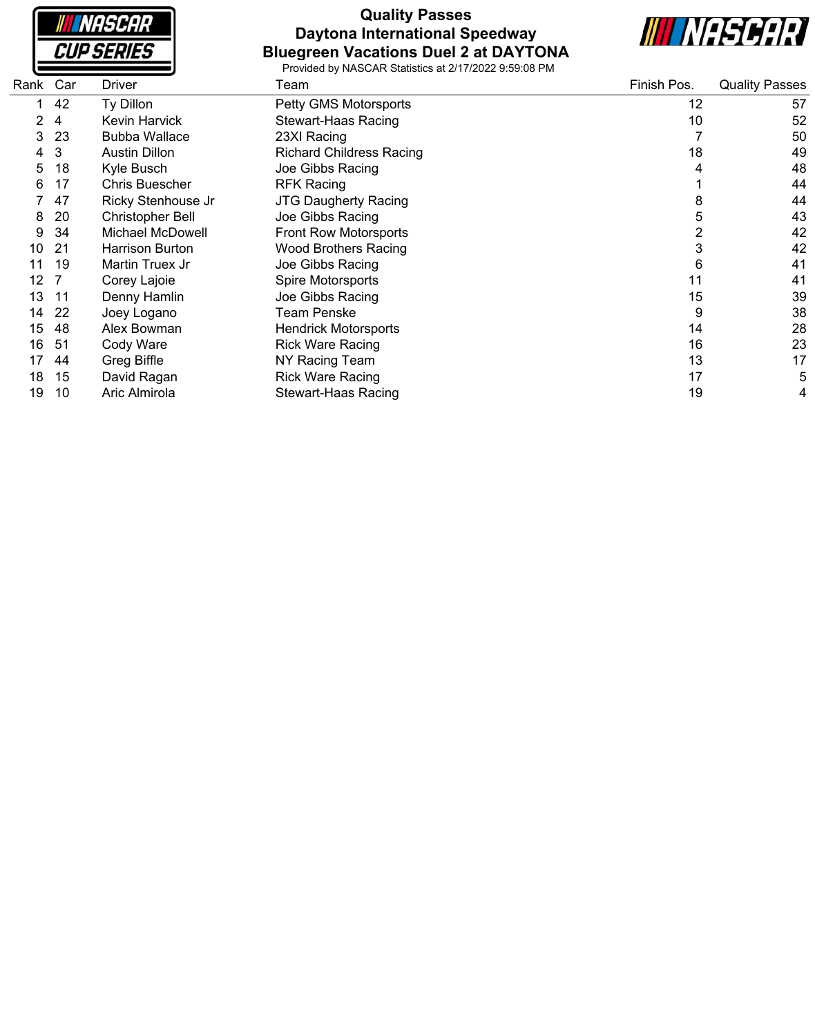|  | <i><b>NASCAR</b></i> |  |
|--|----------------------|--|
|  | CUP SERIES           |  |

## **Quality Passes Daytona International Speedway Bluegreen Vacations Duel 2 at DAYTONA**



| Rank | Car | Driver                  | Team                            | Finish Pos. | <b>Quality Passes</b> |
|------|-----|-------------------------|---------------------------------|-------------|-----------------------|
|      | 42  | Ty Dillon               | Petty GMS Motorsports           | 12          | 57                    |
| 2    | 4   | Kevin Harvick           | Stewart-Haas Racing             | 10          | 52                    |
| 3    | 23  | <b>Bubba Wallace</b>    | 23XI Racing                     |             | 50                    |
| 4    | 3   | <b>Austin Dillon</b>    | <b>Richard Childress Racing</b> | 18          | 49                    |
| 5    | 18  | Kyle Busch              | Joe Gibbs Racing                |             | 48                    |
| 6    | 17  | <b>Chris Buescher</b>   | <b>RFK Racing</b>               |             | 44                    |
|      | 47  | Ricky Stenhouse Jr      | <b>JTG Daugherty Racing</b>     | 8           | 44                    |
| 8    | 20  | <b>Christopher Bell</b> | Joe Gibbs Racing                | 5           | 43                    |
| 9    | -34 | Michael McDowell        | <b>Front Row Motorsports</b>    | 2           | 42                    |
| 10   | 21  | Harrison Burton         | <b>Wood Brothers Racing</b>     | 3           | 42                    |
|      | 19  | Martin Truex Jr         | Joe Gibbs Racing                | 6           | 41                    |
| 12   |     | Corey Lajoie            | Spire Motorsports               | 11          | 41                    |
| 13   | 11  | Denny Hamlin            | Joe Gibbs Racing                | 15          | 39                    |
| 14   | -22 | Joey Logano             | Team Penske                     | 9           | 38                    |
| 15   | 48  | Alex Bowman             | <b>Hendrick Motorsports</b>     | 14          | 28                    |
| 16   | -51 | Cody Ware               | <b>Rick Ware Racing</b>         | 16          | 23                    |
| 17   | 44  | Greg Biffle             | NY Racing Team                  | 13          | 17                    |
| 18   | 15  | David Ragan             | <b>Rick Ware Racing</b>         | 17          | 5                     |
| 19   | 10  | Aric Almirola           | Stewart-Haas Racing             | 19          | 4                     |